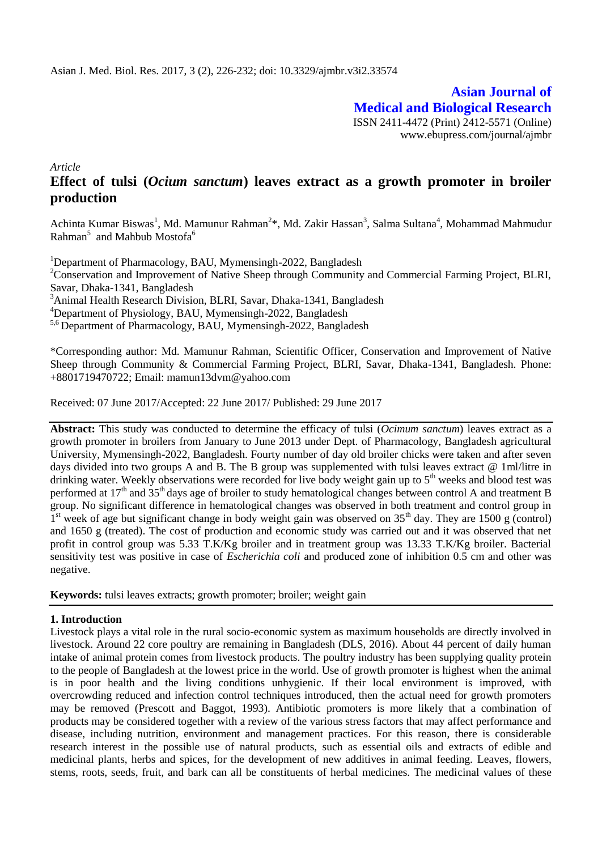**Asian Journal of Medical and Biological Research** ISSN 2411-4472 (Print) 2412-5571 (Online) www.ebupress.com/journal/ajmbr

*Article*

# **Effect of tulsi (***Ocium sanctum***) leaves extract as a growth promoter in broiler production**

Achinta Kumar Biswas<sup>1</sup>, Md. Mamunur Rahman<sup>2\*</sup>, Md. Zakir Hassan<sup>3</sup>, Salma Sultana<sup>4</sup>, Mohammad Mahmudur Rahman $^5$  and Mahbub Mostofa $^6$ 

<sup>1</sup>Department of Pharmacology, BAU, Mymensingh-2022, Bangladesh

<sup>2</sup>Conservation and Improvement of Native Sheep through Community and Commercial Farming Project, BLRI, Savar, Dhaka-1341, Bangladesh

<sup>3</sup>Animal Health Research Division, BLRI, Savar, Dhaka-1341, Bangladesh

<sup>4</sup>Department of Physiology, BAU, Mymensingh-2022, Bangladesh

5,6 Department of Pharmacology, BAU, Mymensingh-2022, Bangladesh

\*Corresponding author: Md. Mamunur Rahman, Scientific Officer, Conservation and Improvement of Native Sheep through Community & Commercial Farming Project, BLRI, Savar, Dhaka-1341, Bangladesh. Phone: +8801719470722; Email: mamun13dvm@yahoo.com

Received: 07 June 2017/Accepted: 22 June 2017/ Published: 29 June 2017

**Abstract:** This study was conducted to determine the efficacy of tulsi (*Ocimum sanctum*) leaves extract as a growth promoter in broilers from January to June 2013 under Dept. of Pharmacology, Bangladesh agricultural University, Mymensingh-2022, Bangladesh. Fourty number of day old broiler chicks were taken and after seven days divided into two groups A and B. The B group was supplemented with tulsi leaves extract @ 1ml/litre in drinking water. Weekly observations were recorded for live body weight gain up to  $5<sup>th</sup>$  weeks and blood test was performed at 17<sup>th</sup> and 35<sup>th</sup> days age of broiler to study hematological changes between control A and treatment B group. No significant difference in hematological changes was observed in both treatment and control group in 1<sup>st</sup> week of age but significant change in body weight gain was observed on 35<sup>th</sup> day. They are 1500 g (control) and 1650 g (treated). The cost of production and economic study was carried out and it was observed that net profit in control group was 5.33 T.K/Kg broiler and in treatment group was 13.33 T.K/Kg broiler. Bacterial sensitivity test was positive in case of *Escherichia coli* and produced zone of inhibition 0.5 cm and other was negative.

**Keywords:** tulsi leaves extracts; growth promoter; broiler; weight gain

### **1. Introduction**

Livestock plays a vital role in the rural socio-economic system as maximum households are directly involved in livestock. Around 22 core poultry are remaining in Bangladesh (DLS, 2016). About 44 percent of daily human intake of animal protein comes from livestock products. The poultry industry has been supplying quality protein to the people of Bangladesh at the lowest price in the world. Use of growth promoter is highest when the animal is in poor health and the living conditions unhygienic. If their local environment is improved, with overcrowding reduced and infection control techniques introduced, then the actual need for growth promoters may be removed (Prescott and Baggot, 1993). Antibiotic promoters is more likely that a combination of products may be considered together with a review of the various stress factors that may affect performance and disease, including nutrition, environment and management practices. For this reason, there is considerable research interest in the possible use of natural products, such as essential oils and extracts of edible and medicinal plants, herbs and spices, for the development of new additives in animal feeding. Leaves, flowers, stems, roots, seeds, fruit, and bark can all be constituents of herbal medicines. The medicinal values of these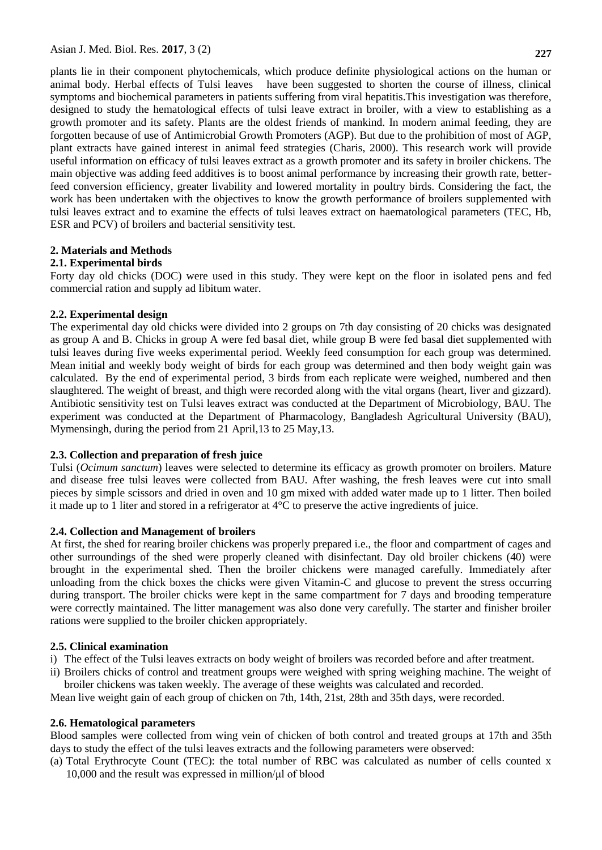plants lie in their component phytochemicals, which produce definite physiological actions on the human or animal body. Herbal effects of Tulsi leaves have been suggested to shorten the course of illness, clinical symptoms and biochemical parameters in patients suffering from viral hepatitis.This investigation was therefore, designed to study the hematological effects of tulsi leave extract in broiler, with a view to establishing as a growth promoter and its safety. Plants are the oldest friends of mankind. In modern animal feeding, they are forgotten because of use of Antimicrobial Growth Promoters (AGP). But due to the prohibition of most of AGP, plant extracts have gained interest in animal feed strategies (Charis, 2000). This research work will provide useful information on efficacy of tulsi leaves extract as a growth promoter and its safety in broiler chickens. The main objective was adding feed additives is to boost animal performance by increasing their growth rate, betterfeed conversion efficiency, greater livability and lowered mortality in poultry birds. Considering the fact, the work has been undertaken with the objectives to know the growth performance of broilers supplemented with tulsi leaves extract and to examine the effects of tulsi leaves extract on haematological parameters (TEC, Hb, ESR and PCV) of broilers and bacterial sensitivity test.

# **2. Materials and Methods**

#### **2.1. Experimental birds**

Forty day old chicks (DOC) were used in this study. They were kept on the floor in isolated pens and fed commercial ration and supply ad libitum water.

#### **2.2. Experimental design**

The experimental day old chicks were divided into 2 groups on 7th day consisting of 20 chicks was designated as group A and B. Chicks in group A were fed basal diet, while group B were fed basal diet supplemented with tulsi leaves during five weeks experimental period. Weekly feed consumption for each group was determined. Mean initial and weekly body weight of birds for each group was determined and then body weight gain was calculated. By the end of experimental period, 3 birds from each replicate were weighed, numbered and then slaughtered. The weight of breast, and thigh were recorded along with the vital organs (heart, liver and gizzard). Antibiotic sensitivity test on Tulsi leaves extract was conducted at the Department of Microbiology, BAU. The experiment was conducted at the Department of Pharmacology, Bangladesh Agricultural University (BAU), Mymensingh, during the period from 21 April,13 to 25 May,13.

### **2.3. Collection and preparation of fresh juice**

Tulsi (*Ocimum sanctum*) leaves were selected to determine its efficacy as growth promoter on broilers. Mature and disease free tulsi leaves were collected from BAU. After washing, the fresh leaves were cut into small pieces by simple scissors and dried in oven and 10 gm mixed with added water made up to 1 litter. Then boiled it made up to 1 liter and stored in a refrigerator at 4°C to preserve the active ingredients of juice.

### **2.4. Collection and Management of broilers**

At first, the shed for rearing broiler chickens was properly prepared i.e., the floor and compartment of cages and other surroundings of the shed were properly cleaned with disinfectant. Day old broiler chickens (40) were brought in the experimental shed. Then the broiler chickens were managed carefully. Immediately after unloading from the chick boxes the chicks were given Vitamin-C and glucose to prevent the stress occurring during transport. The broiler chicks were kept in the same compartment for 7 days and brooding temperature were correctly maintained. The litter management was also done very carefully. The starter and finisher broiler rations were supplied to the broiler chicken appropriately.

#### **2.5. Clinical examination**

- i) The effect of the Tulsi leaves extracts on body weight of broilers was recorded before and after treatment.
- ii) Broilers chicks of control and treatment groups were weighed with spring weighing machine. The weight of broiler chickens was taken weekly. The average of these weights was calculated and recorded.

Mean live weight gain of each group of chicken on 7th, 14th, 21st, 28th and 35th days, were recorded.

### **2.6. Hematological parameters**

Blood samples were collected from wing vein of chicken of both control and treated groups at 17th and 35th days to study the effect of the tulsi leaves extracts and the following parameters were observed:

(a) Total Erythrocyte Count (TEC): the total number of RBC was calculated as number of cells counted x 10,000 and the result was expressed in million/μl of blood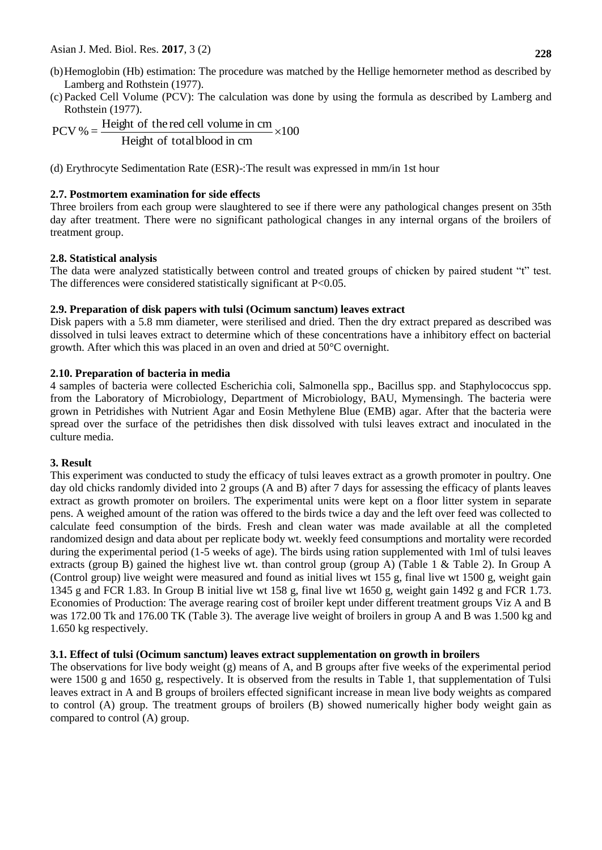- (b)Hemoglobin (Hb) estimation: The procedure was matched by the Hellige hemorneter method as described by Lamberg and Rothstein (1977).
- (c) Packed Cell Volume (PCV): The calculation was done by using the formula as described by Lamberg and Rothstein (1977).

100 Height of totalblood in cm  $PCV % = \frac{Height \space of \space the \space red \space cell \space volume \space in \space cm} \times$ 

(d) Erythrocyte Sedimentation Rate (ESR)-:The result was expressed in mm/in 1st hour

### **2.7. Postmortem examination for side effects**

Three broilers from each group were slaughtered to see if there were any pathological changes present on 35th day after treatment. There were no significant pathological changes in any internal organs of the broilers of treatment group.

# **2.8. Statistical analysis**

The data were analyzed statistically between control and treated groups of chicken by paired student "t" test. The differences were considered statistically significant at P<0.05.

# **2.9. Preparation of disk papers with tulsi (Ocimum sanctum) leaves extract**

Disk papers with a 5.8 mm diameter, were sterilised and dried. Then the dry extract prepared as described was dissolved in tulsi leaves extract to determine which of these concentrations have a inhibitory effect on bacterial growth. After which this was placed in an oven and dried at 50°C overnight.

# **2.10. Preparation of bacteria in media**

4 samples of bacteria were collected Escherichia coli, Salmonella spp., Bacillus spp. and Staphylococcus spp. from the Laboratory of Microbiology, Department of Microbiology, BAU, Mymensingh. The bacteria were grown in Petridishes with Nutrient Agar and Eosin Methylene Blue (EMB) agar. After that the bacteria were spread over the surface of the petridishes then disk dissolved with tulsi leaves extract and inoculated in the culture media.

### **3. Result**

This experiment was conducted to study the efficacy of tulsi leaves extract as a growth promoter in poultry. One day old chicks randomly divided into 2 groups (A and B) after 7 days for assessing the efficacy of plants leaves extract as growth promoter on broilers. The experimental units were kept on a floor litter system in separate pens. A weighed amount of the ration was offered to the birds twice a day and the left over feed was collected to calculate feed consumption of the birds. Fresh and clean water was made available at all the completed randomized design and data about per replicate body wt. weekly feed consumptions and mortality were recorded during the experimental period (1-5 weeks of age). The birds using ration supplemented with 1ml of tulsi leaves extracts (group B) gained the highest live wt. than control group (group A) (Table 1 & Table 2). In Group A (Control group) live weight were measured and found as initial lives wt 155 g, final live wt 1500 g, weight gain 1345 g and FCR 1.83. In Group B initial live wt 158 g, final live wt 1650 g, weight gain 1492 g and FCR 1.73. Economies of Production: The average rearing cost of broiler kept under different treatment groups Viz A and B was 172.00 Tk and 176.00 TK (Table 3). The average live weight of broilers in group A and B was 1.500 kg and 1.650 kg respectively.

### **3.1. Effect of tulsi (Ocimum sanctum) leaves extract supplementation on growth in broilers**

The observations for live body weight (g) means of A, and B groups after five weeks of the experimental period were 1500 g and 1650 g, respectively. It is observed from the results in Table 1, that supplementation of Tulsi leaves extract in A and B groups of broilers effected significant increase in mean live body weights as compared to control (A) group. The treatment groups of broilers (B) showed numerically higher body weight gain as compared to control (A) group.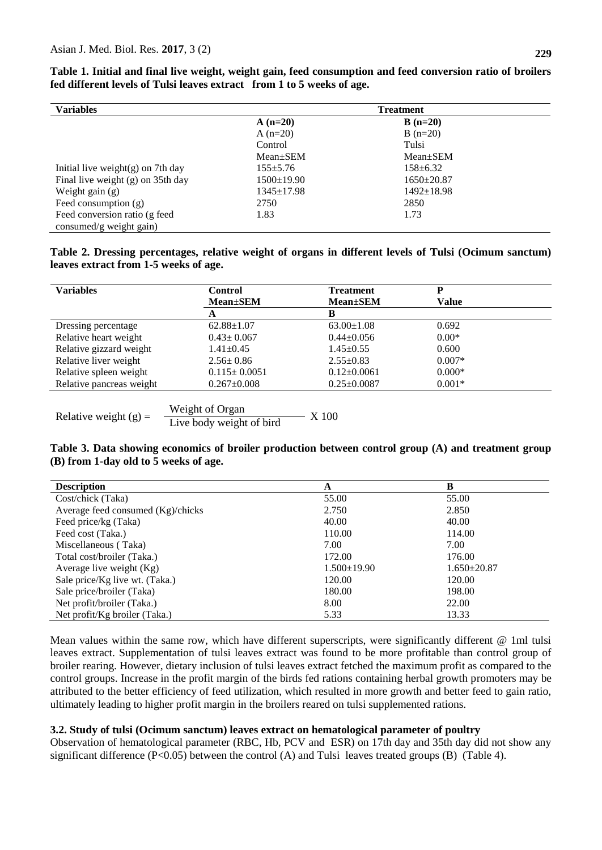| <b>Variables</b>                     | <b>Treatment</b> |                  |  |
|--------------------------------------|------------------|------------------|--|
|                                      | $A(n=20)$        | $B(n=20)$        |  |
|                                      | A $(n=20)$       | $B(n=20)$        |  |
|                                      | Control          | Tulsi            |  |
|                                      | $Mean \pm SEM$   | $Mean \pm SEM$   |  |
| Initial live weight $(g)$ on 7th day | $155 \pm 5.76$   | $158 \pm 6.32$   |  |
| Final live weight $(g)$ on 35th day  | $1500 \pm 19.90$ | $1650 \pm 20.87$ |  |
| Weight gain $(g)$                    | $1345 \pm 17.98$ | $1492 \pm 18.98$ |  |
| Feed consumption $(g)$               | 2750             | 2850             |  |
| Feed conversion ratio (g feed        | 1.83             | 1.73             |  |
| consumed/g weight gain)              |                  |                  |  |

**Table 1. Initial and final live weight, weight gain, feed consumption and feed conversion ratio of broilers fed different levels of Tulsi leaves extract from 1 to 5 weeks of age.** 

**Table 2. Dressing percentages, relative weight of organs in different levels of Tulsi (Ocimum sanctum) leaves extract from 1-5 weeks of age.**

| <b>Variables</b>         | <b>Control</b>           | <b>Treatment</b>  | P            |  |
|--------------------------|--------------------------|-------------------|--------------|--|
|                          | <b>Mean</b> ±SEM         | <b>Mean</b> ±SEM  | <b>Value</b> |  |
|                          | A                        | B                 |              |  |
| Dressing percentage      | $62.88 \pm 1.07$         | $63.00 \pm 1.08$  | 0.692        |  |
| Relative heart weight    | $0.43 \pm 0.067$         | $0.44 \pm 0.056$  | $0.00*$      |  |
| Relative gizzard weight  | $1.41 \pm 0.45$          | $1.45 \pm 0.55$   | 0.600        |  |
| Relative liver weight    | $2.56 \pm 0.86$          | $2.55 \pm 0.83$   | $0.007*$     |  |
| Relative spleen weight   | $0.115 \pm 0.0051$       | $0.12 \pm 0.0061$ | $0.000*$     |  |
| Relative pancreas weight | $0.267 \pm 0.008$        | $0.25 \pm 0.0087$ | $0.001*$     |  |
|                          |                          |                   |              |  |
|                          | Weight of Organ          |                   |              |  |
| Relative weight $(g)$ =  | Live body weight of bird | X 100             |              |  |

### **Table 3. Data showing economics of broiler production between control group (A) and treatment group (B) from 1-day old to 5 weeks of age.**

| <b>Description</b>                         | A                 | B                 |
|--------------------------------------------|-------------------|-------------------|
| Cost/chick (Taka)                          | 55.00             | 55.00             |
| Average feed consumed $(Kg)/\text{chicks}$ | 2.750             | 2.850             |
| Feed price/kg (Taka)                       | 40.00             | 40.00             |
| Feed cost (Taka.)                          | 110.00            | 114.00            |
| Miscellaneous (Taka)                       | 7.00              | 7.00              |
| Total cost/broiler (Taka.)                 | 172.00            | 176.00            |
| Average live weight $(Kg)$                 | $1.500 \pm 19.90$ | $1.650 \pm 20.87$ |
| Sale price/Kg live wt. (Taka.)             | 120.00            | 120.00            |
| Sale price/broiler (Taka)                  | 180.00            | 198.00            |
| Net profit/broiler (Taka.)                 | 8.00              | 22.00             |
| Net profit/Kg broiler (Taka.)              | 5.33              | 13.33             |

Mean values within the same row, which have different superscripts, were significantly different @ 1ml tulsi leaves extract. Supplementation of tulsi leaves extract was found to be more profitable than control group of broiler rearing. However, dietary inclusion of tulsi leaves extract fetched the maximum profit as compared to the control groups. Increase in the profit margin of the birds fed rations containing herbal growth promoters may be attributed to the better efficiency of feed utilization, which resulted in more growth and better feed to gain ratio, ultimately leading to higher profit margin in the broilers reared on tulsi supplemented rations.

### **3.2. Study of tulsi (Ocimum sanctum) leaves extract on hematological parameter of poultry**

Observation of hematological parameter (RBC, Hb, PCV and ESR) on 17th day and 35th day did not show any significant difference (P<0.05) between the control (A) and Tulsi leaves treated groups (B) (Table 4).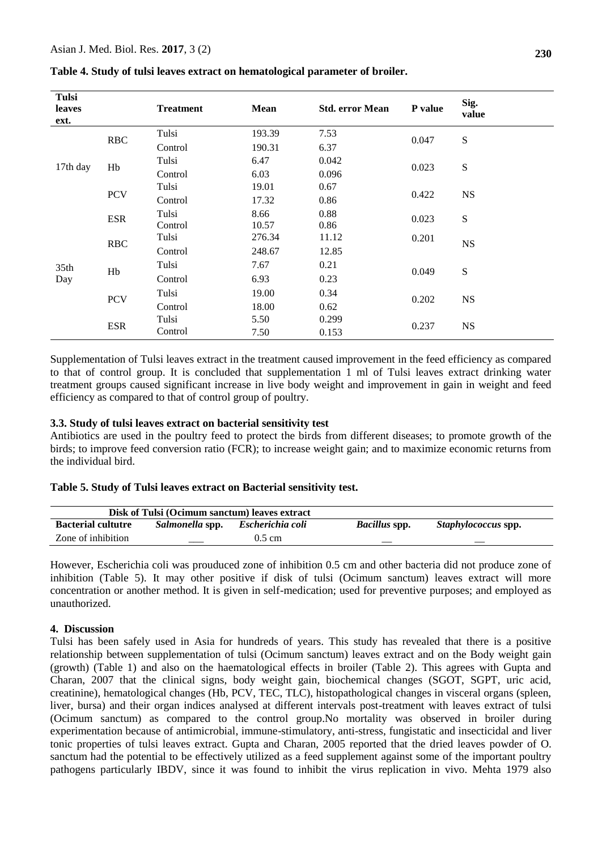| Tulsi<br>leaves<br>ext. |            | <b>Treatment</b> | Mean   | <b>Std. error Mean</b> | P value | Sig.<br>value |
|-------------------------|------------|------------------|--------|------------------------|---------|---------------|
|                         | <b>RBC</b> | Tulsi            | 193.39 | 7.53                   | 0.047   | ${\bf S}$     |
|                         |            | Control          | 190.31 | 6.37                   |         |               |
|                         | Hb         | Tulsi            | 6.47   | 0.042                  | 0.023   | ${\bf S}$     |
| 17th day                |            | Control          | 6.03   | 0.096                  |         |               |
|                         | <b>PCV</b> | Tulsi            | 19.01  | 0.67                   | 0.422   | <b>NS</b>     |
|                         |            | Control          | 17.32  | 0.86                   |         |               |
|                         | <b>ESR</b> | Tulsi            | 8.66   | 0.88                   | 0.023   | ${\bf S}$     |
| 35 <sub>th</sub><br>Day |            | Control          | 10.57  | 0.86                   |         |               |
|                         | <b>RBC</b> | Tulsi            | 276.34 | 11.12                  | 0.201   | <b>NS</b>     |
|                         |            | Control          | 248.67 | 12.85                  |         |               |
|                         | Hb         | Tulsi            | 7.67   | 0.21                   | 0.049   | ${\bf S}$     |
|                         |            | Control          | 6.93   | 0.23                   |         |               |
|                         | <b>PCV</b> | Tulsi            | 19.00  | 0.34                   | 0.202   | <b>NS</b>     |
|                         |            | Control          | 18.00  | 0.62                   |         |               |
|                         | <b>ESR</b> | Tulsi            | 5.50   | 0.299                  | 0.237   | <b>NS</b>     |
|                         |            | Control          | 7.50   | 0.153                  |         |               |

**Table 4. Study of tulsi leaves extract on hematological parameter of broiler.** 

Supplementation of Tulsi leaves extract in the treatment caused improvement in the feed efficiency as compared to that of control group. It is concluded that supplementation 1 ml of Tulsi leaves extract drinking water treatment groups caused significant increase in live body weight and improvement in gain in weight and feed efficiency as compared to that of control group of poultry.

#### **3.3. Study of tulsi leaves extract on bacterial sensitivity test**

Antibiotics are used in the poultry feed to protect the birds from different diseases; to promote growth of the birds; to improve feed conversion ratio (FCR); to increase weight gain; and to maximize economic returns from the individual bird.

#### **Table 5. Study of Tulsi leaves extract on Bacterial sensitivity test.**

| Disk of Tulsi (Ocimum sanctum) leaves extract |                 |                    |                      |                            |
|-----------------------------------------------|-----------------|--------------------|----------------------|----------------------------|
| <b>Bacterial cultutre</b>                     | Salmonella spp. | Escherichia coli   | <i>Bacillus</i> spp. | <i>Staphylococcus</i> spp. |
| Zone of inhibition                            |                 | $0.5 \, \text{cm}$ |                      |                            |

However, Escherichia coli was prouduced zone of inhibition 0.5 cm and other bacteria did not produce zone of inhibition (Table 5). It may other positive if disk of tulsi (Ocimum sanctum) leaves extract will more concentration or another method. It is given in self-medication; used for preventive purposes; and employed as unauthorized.

### **4. Discussion**

Tulsi has been safely used in Asia for hundreds of years. This study has revealed that there is a positive relationship between supplementation of tulsi (Ocimum sanctum) leaves extract and on the Body weight gain (growth) (Table 1) and also on the haematological effects in broiler (Table 2). This agrees with Gupta and Charan, 2007 that the clinical signs, body weight gain, biochemical changes (SGOT, SGPT, uric acid, creatinine), hematological changes (Hb, PCV, TEC, TLC), histopathological changes in visceral organs (spleen, liver, bursa) and their organ indices analysed at different intervals post-treatment with leaves extract of tulsi (Ocimum sanctum) as compared to the control group.No mortality was observed in broiler during experimentation because of antimicrobial, immune-stimulatory, anti-stress, fungistatic and insecticidal and liver tonic properties of tulsi leaves extract. Gupta and Charan, 2005 reported that the dried leaves powder of O. sanctum had the potential to be effectively utilized as a feed supplement against some of the important poultry pathogens particularly IBDV, since it was found to inhibit the virus replication in vivo. Mehta 1979 also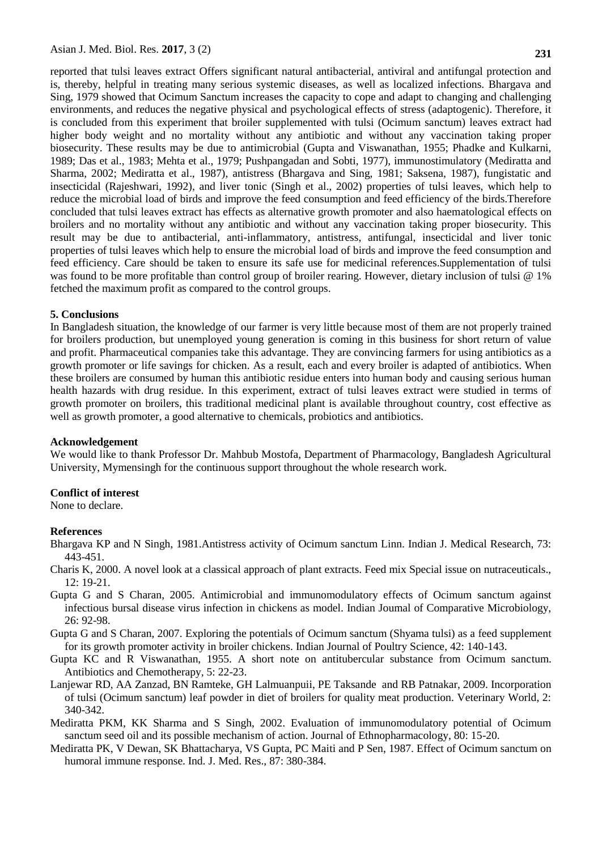reported that tulsi leaves extract Offers significant natural antibacterial, antiviral and antifungal protection and is, thereby, helpful in treating many serious systemic diseases, as well as localized infections. Bhargava and Sing, 1979 showed that Ocimum Sanctum increases the capacity to cope and adapt to changing and challenging environments, and reduces the negative physical and psychological effects of stress (adaptogenic). Therefore, it is concluded from this experiment that broiler supplemented with tulsi (Ocimum sanctum) leaves extract had higher body weight and no mortality without any antibiotic and without any vaccination taking proper biosecurity. These results may be due to antimicrobial (Gupta and Viswanathan, 1955; Phadke and Kulkarni, 1989; Das et al., 1983; Mehta et al., 1979; Pushpangadan and Sobti, 1977), immunostimulatory (Mediratta and Sharma, 2002; Mediratta et al., 1987), antistress (Bhargava and Sing, 1981; Saksena, 1987), fungistatic and insecticidal (Rajeshwari, 1992), and liver tonic (Singh et al., 2002) properties of tulsi leaves, which help to reduce the microbial load of birds and improve the feed consumption and feed efficiency of the birds.Therefore concluded that tulsi leaves extract has effects as alternative growth promoter and also haematological effects on broilers and no mortality without any antibiotic and without any vaccination taking proper biosecurity. This result may be due to antibacterial, anti-inflammatory, antistress, antifungal, insecticidal and liver tonic properties of tulsi leaves which help to ensure the microbial load of birds and improve the feed consumption and feed efficiency. Care should be taken to ensure its safe use for medicinal references.Supplementation of tulsi was found to be more profitable than control group of broiler rearing. However, dietary inclusion of tulsi @ 1% fetched the maximum profit as compared to the control groups.

#### **5. Conclusions**

In Bangladesh situation, the knowledge of our farmer is very little because most of them are not properly trained for broilers production, but unemployed young generation is coming in this business for short return of value and profit. Pharmaceutical companies take this advantage. They are convincing farmers for using antibiotics as a growth promoter or life savings for chicken. As a result, each and every broiler is adapted of antibiotics. When these broilers are consumed by human this antibiotic residue enters into human body and causing serious human health hazards with drug residue. In this experiment, extract of tulsi leaves extract were studied in terms of growth promoter on broilers, this traditional medicinal plant is available throughout country, cost effective as well as growth promoter, a good alternative to chemicals, probiotics and antibiotics.

#### **Acknowledgement**

We would like to thank Professor Dr. Mahbub Mostofa, Department of Pharmacology, Bangladesh Agricultural University, Mymensingh for the continuous support throughout the whole research work.

#### **Conflict of interest**

None to declare.

#### **References**

- Bhargava KP and N Singh, 1981.Antistress activity of Ocimum sanctum Linn. Indian J. Medical Research, 73: 443-451.
- Charis K, 2000. A novel look at a classical approach of plant extracts. Feed mix Special issue on nutraceuticals., 12: 19-21.
- Gupta G and S Charan, 2005. Antimicrobial and immunomodulatory effects of Ocimum sanctum against infectious bursal disease virus infection in chickens as model. Indian Joumal of Comparative Microbiology, 26: 92-98.
- Gupta G and S Charan, 2007. Exploring the potentials of Ocimum sanctum (Shyama tulsi) as a feed supplement for its growth promoter activity in broiler chickens. Indian Journal of Poultry Science, 42: 140-143.
- Gupta KC and R Viswanathan, 1955. A short note on antitubercular substance from Ocimum sanctum. Antibiotics and Chemotherapy, 5: 22-23.
- Lanjewar RD, AA Zanzad, BN Ramteke, GH Lalmuanpuii, PE Taksande and RB Patnakar, 2009. Incorporation of tulsi (Ocimum sanctum) leaf powder in diet of broilers for quality meat production. Veterinary World, 2: 340-342.
- Mediratta PKM, KK Sharma and S Singh, 2002. Evaluation of immunomodulatory potential of Ocimum sanctum seed oil and its possible mechanism of action. Journal of Ethnopharmacology, 80: 15-20.
- Mediratta PK, V Dewan, SK Bhattacharya, VS Gupta, PC Maiti and P Sen, 1987. Effect of Ocimum sanctum on humoral immune response. Ind. J. Med. Res., 87: 380-384.